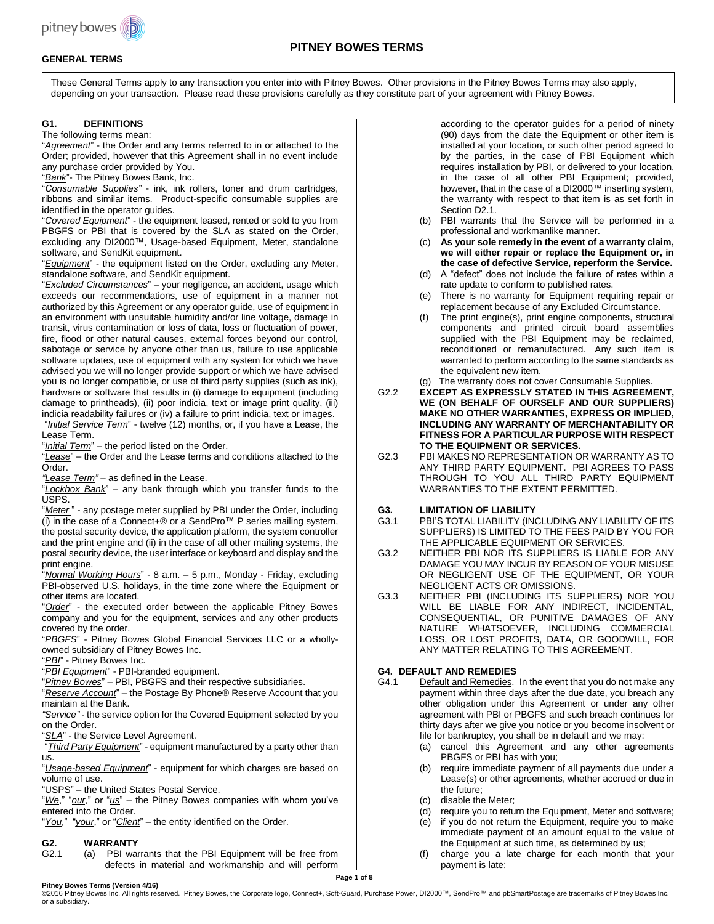

# **PITNEY BOWES TERMS**

# **GENERAL TERMS**

These General Terms apply to any transaction you enter into with Pitney Bowes. Other provisions in the Pitney Bowes Terms may also apply, depending on your transaction. Please read these provisions carefully as they constitute part of your agreement with Pitney Bowes.

# **G1. DEFINITIONS**

The following terms mean:

"*Agreement*" - the Order and any terms referred to in or attached to the Order; provided, however that this Agreement shall in no event include any purchase order provided by You.

"*Bank*"- The Pitney Bowes Bank, Inc.

"*Consumable Supplies"* - ink, ink rollers, toner and drum cartridges, ribbons and similar items. Product-specific consumable supplies are identified in the operator guides.

"*Covered Equipment*" - the equipment leased, rented or sold to you from PBGFS or PBI that is covered by the SLA as stated on the Order, excluding any DI2000™, Usage-based Equipment, Meter, standalone software, and SendKit equipment.

"*Equipment*" - the equipment listed on the Order, excluding any Meter, standalone software, and SendKit equipment.

"*Excluded Circumstances*" – your negligence, an accident, usage which exceeds our recommendations, use of equipment in a manner not authorized by this Agreement or any operator guide, use of equipment in an environment with unsuitable humidity and/or line voltage, damage in transit, virus contamination or loss of data, loss or fluctuation of power, fire, flood or other natural causes, external forces beyond our control, sabotage or service by anyone other than us, failure to use applicable software updates, use of equipment with any system for which we have advised you we will no longer provide support or which we have advised you is no longer compatible, or use of third party supplies (such as ink), hardware or software that results in (i) damage to equipment (including damage to printheads), (ii) poor indicia, text or image print quality, (iii) indicia readability failures or (iv) a failure to print indicia, text or images. "*Initial Service Term*" - twelve (12) months, or, if you have a Lease, the

Lease Term.

"*Initial Term*" – the period listed on the Order.

"*Lease*" – the Order and the Lease terms and conditions attached to the Order.

*"Lease Term"* – as defined in the Lease.

"*Lockbox Bank*" – any bank through which you transfer funds to the USPS.

"*Meter* " - any postage meter supplied by PBI under the Order, including  $(i)$  in the case of a Connect+® or a SendPro<sup> $M$ </sup> P series mailing system, the postal security device, the application platform, the system controller and the print engine and (ii) in the case of all other mailing systems, the postal security device, the user interface or keyboard and display and the print engine.

"*Normal Working Hours*" - 8 a.m. – 5 p.m., Monday - Friday, excluding PBI-observed U.S. holidays, in the time zone where the Equipment or other items are located.

"*Order*" - the executed order between the applicable Pitney Bowes company and you for the equipment, services and any other products covered by the order.

"*PBGFS*" - Pitney Bowes Global Financial Services LLC or a whollyowned subsidiary of Pitney Bowes Inc.

"*PBI*" - Pitney Bowes Inc.

"*PBI Equipment*" - PBI-branded equipment.

"*Pitney Bowes*" – PBI, PBGFS and their respective subsidiaries.

"*Reserve Account*" – the Postage By Phone® Reserve Account that you maintain at the Bank.

*"Service"* - the service option for the Covered Equipment selected by you on the Order.

"*SLA*" - the Service Level Agreement.

"*Third Party Equipment*" - equipment manufactured by a party other than us.

"*Usage-based Equipment*" - equipment for which charges are based on volume of use.

"USPS" – the United States Postal Service.

"*We*," "*our*," or "*us*" – the Pitney Bowes companies with whom you've entered into the Order.

"*You*," "*your*," or "*Client*" – the entity identified on the Order.

# **G2. WARRANTY**

(a) PBI warrants that the PBI Equipment will be free from defects in material and workmanship and will perform according to the operator guides for a period of ninety (90) days from the date the Equipment or other item is installed at your location, or such other period agreed to by the parties, in the case of PBI Equipment which requires installation by PBI, or delivered to your location, in the case of all other PBI Equipment; provided, however, that in the case of a DI2000™ inserting system, the warranty with respect to that item is as set forth in Section D<sub>2.1</sub>.

- (b) PBI warrants that the Service will be performed in a professional and workmanlike manner.
- (c) **As your sole remedy in the event of a warranty claim, we will either repair or replace the Equipment or, in the case of defective Service, reperform the Service.**
- (d) A "defect" does not include the failure of rates within a rate update to conform to published rates.
- (e) There is no warranty for Equipment requiring repair or replacement because of any Excluded Circumstance.
- The print engine(s), print engine components, structural components and printed circuit board assemblies supplied with the PBI Equipment may be reclaimed, reconditioned or remanufactured. Any such item is warranted to perform according to the same standards as the equivalent new item.

(g) The warranty does not cover Consumable Supplies.

- G2.2 **EXCEPT AS EXPRESSLY STATED IN THIS AGREEMENT, WE (ON BEHALF OF OURSELF AND OUR SUPPLIERS) MAKE NO OTHER WARRANTIES, EXPRESS OR IMPLIED, INCLUDING ANY WARRANTY OF MERCHANTABILITY OR FITNESS FOR A PARTICULAR PURPOSE WITH RESPECT TO THE EQUIPMENT OR SERVICES.**
- G2.3 PBI MAKES NO REPRESENTATION OR WARRANTY AS TO ANY THIRD PARTY EQUIPMENT. PBI AGREES TO PASS THROUGH TO YOU ALL THIRD PARTY EQUIPMENT WARRANTIES TO THE EXTENT PERMITTED.

## **G3. LIMITATION OF LIABILITY**

- G3.1 PBI'S TOTAL LIABILITY (INCLUDING ANY LIABILITY OF ITS SUPPLIERS) IS LIMITED TO THE FEES PAID BY YOU FOR THE APPLICABLE EQUIPMENT OR SERVICES.
- G3.2 NEITHER PBI NOR ITS SUPPLIERS IS LIABLE FOR ANY DAMAGE YOU MAY INCUR BY REASON OF YOUR MISUSE OR NEGLIGENT USE OF THE EQUIPMENT, OR YOUR NEGLIGENT ACTS OR OMISSIONS.
- G3.3 NEITHER PBI (INCLUDING ITS SUPPLIERS) NOR YOU WILL BE LIABLE FOR ANY INDIRECT, INCIDENTAL, CONSEQUENTIAL, OR PUNITIVE DAMAGES OF ANY NATURE WHATSOEVER, INCLUDING COMMERCIAL LOSS, OR LOST PROFITS, DATA, OR GOODWILL, FOR ANY MATTER RELATING TO THIS AGREEMENT.

## **G4. DEFAULT AND REMEDIES**

- G4.1 Default and Remedies. In the event that you do not make any payment within three days after the due date, you breach any other obligation under this Agreement or under any other agreement with PBI or PBGFS and such breach continues for thirty days after we give you notice or you become insolvent or file for bankruptcy, you shall be in default and we may:
	- (a) cancel this Agreement and any other agreements PBGFS or PBI has with you;
	- (b) require immediate payment of all payments due under a Lease(s) or other agreements, whether accrued or due in the future;
	- (c) disable the Meter;
	- (d) require you to return the Equipment, Meter and software;
	- (e) if you do not return the Equipment, require you to make immediate payment of an amount equal to the value of the Equipment at such time, as determined by us;
	- (f) charge you a late charge for each month that your payment is late;

**Pitney Bowes Terms (Version 4/16)**

©2016 Pitney Bowes Inc. All rights reserved. Pitney Bowes, the Corporate logo, Connect+, Soft-Guard, Purchase Power, DI2000™, SendPro™ and pbSmartPostage are trademarks of Pitney Bowes Inc. or a subsidiary.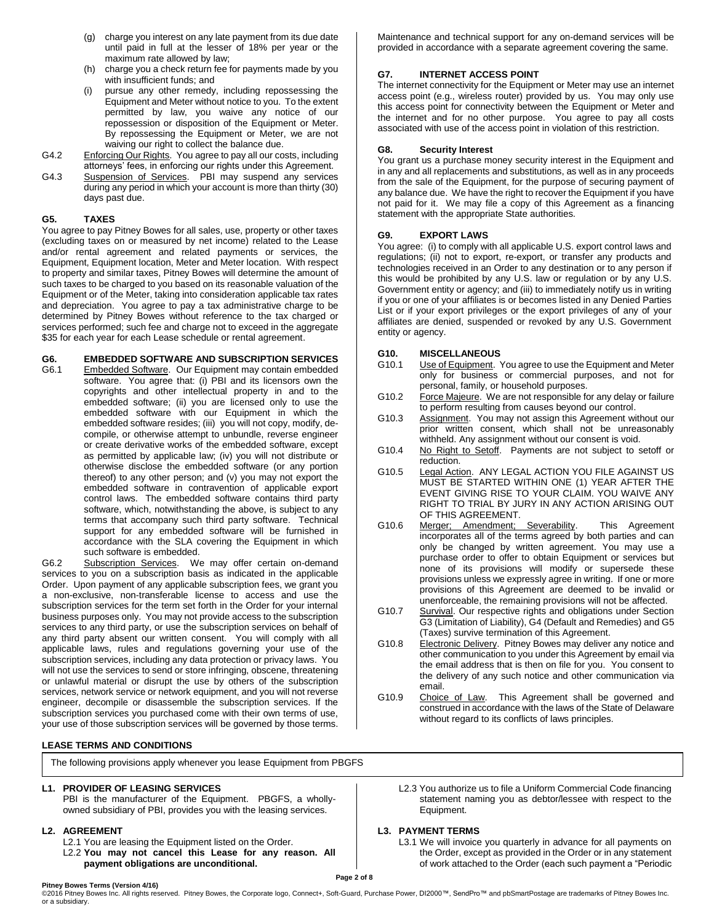- (g) charge you interest on any late payment from its due date until paid in full at the lesser of 18% per year or the maximum rate allowed by law;
- (h) charge you a check return fee for payments made by you with insufficient funds; and
- pursue any other remedy, including repossessing the Equipment and Meter without notice to you. To the extent permitted by law, you waive any notice of our repossession or disposition of the Equipment or Meter. By repossessing the Equipment or Meter, we are not waiving our right to collect the balance due.
- G4.2 Enforcing Our Rights. You agree to pay all our costs, including attorneys' fees, in enforcing our rights under this Agreement.
- G4.3 Suspension of Services. PBI may suspend any services during any period in which your account is more than thirty (30) days past due.

# **G5. TAXES**

You agree to pay Pitney Bowes for all sales, use, property or other taxes (excluding taxes on or measured by net income) related to the Lease and/or rental agreement and related payments or services, the Equipment, Equipment location, Meter and Meter location. With respect to property and similar taxes, Pitney Bowes will determine the amount of such taxes to be charged to you based on its reasonable valuation of the Equipment or of the Meter, taking into consideration applicable tax rates and depreciation. You agree to pay a tax administrative charge to be determined by Pitney Bowes without reference to the tax charged or services performed; such fee and charge not to exceed in the aggregate \$35 for each year for each Lease schedule or rental agreement.

**G6. EMBEDDED SOFTWARE AND SUBSCRIPTION SERVICES** Embedded Software. Our Equipment may contain embedded

software. You agree that: (i) PBI and its licensors own the copyrights and other intellectual property in and to the embedded software; (ii) you are licensed only to use the embedded software with our Equipment in which the embedded software resides; (iii) you will not copy, modify, decompile, or otherwise attempt to unbundle, reverse engineer or create derivative works of the embedded software, except as permitted by applicable law; (iv) you will not distribute or otherwise disclose the embedded software (or any portion thereof) to any other person; and (v) you may not export the embedded software in contravention of applicable export control laws. The embedded software contains third party software, which, notwithstanding the above, is subject to any terms that accompany such third party software. Technical support for any embedded software will be furnished in accordance with the SLA covering the Equipment in which such software is embedded.

G6.2 Subscription Services. We may offer certain on-demand services to you on a subscription basis as indicated in the applicable Order. Upon payment of any applicable subscription fees, we grant you a non-exclusive, non-transferable license to access and use the subscription services for the term set forth in the Order for your internal business purposes only. You may not provide access to the subscription services to any third party, or use the subscription services on behalf of any third party absent our written consent. You will comply with all applicable laws, rules and regulations governing your use of the subscription services, including any data protection or privacy laws. You will not use the services to send or store infringing, obscene, threatening or unlawful material or disrupt the use by others of the subscription services, network service or network equipment, and you will not reverse engineer, decompile or disassemble the subscription services. If the subscription services you purchased come with their own terms of use, your use of those subscription services will be governed by those terms.

# **LEASE TERMS AND CONDITIONS**

The following provisions apply whenever you lease Equipment from PBGFS

# **L1. PROVIDER OF LEASING SERVICES**

PBI is the manufacturer of the Equipment. PBGFS, a whollyowned subsidiary of PBI, provides you with the leasing services.

# **L2. AGREEMENT**

- L2.1 You are leasing the Equipment listed on the Order.
- L2.2 **You may not cancel this Lease for any reason. All payment obligations are unconditional.**

Maintenance and technical support for any on-demand services will be provided in accordance with a separate agreement covering the same.

# **G7. INTERNET ACCESS POINT**

The internet connectivity for the Equipment or Meter may use an internet access point (e.g., wireless router) provided by us. You may only use this access point for connectivity between the Equipment or Meter and the internet and for no other purpose. You agree to pay all costs associated with use of the access point in violation of this restriction.

## **G8. Security Interest**

You grant us a purchase money security interest in the Equipment and in any and all replacements and substitutions, as well as in any proceeds from the sale of the Equipment, for the purpose of securing payment of any balance due. We have the right to recover the Equipment if you have not paid for it. We may file a copy of this Agreement as a financing statement with the appropriate State authorities.

# **G9. EXPORT LAWS**

You agree: (i) to comply with all applicable U.S. export control laws and regulations; (ii) not to export, re-export, or transfer any products and technologies received in an Order to any destination or to any person if this would be prohibited by any U.S. law or regulation or by any U.S. Government entity or agency; and (iii) to immediately notify us in writing if you or one of your affiliates is or becomes listed in any Denied Parties List or if your export privileges or the export privileges of any of your affiliates are denied, suspended or revoked by any U.S. Government entity or agency.

# **G10. MISCELLANEOUS**

- Use of Equipment. You agree to use the Equipment and Meter only for business or commercial purposes, and not for personal, family, or household purposes.
- G10.2 Force Majeure. We are not responsible for any delay or failure to perform resulting from causes beyond our control.
- G10.3 Assignment. You may not assign this Agreement without our prior written consent, which shall not be unreasonably withheld. Any assignment without our consent is void.
- G10.4 No Right to Setoff. Payments are not subject to setoff or reduction.
- G10.5 Legal Action. ANY LEGAL ACTION YOU FILE AGAINST US MUST BE STARTED WITHIN ONE (1) YEAR AFTER THE EVENT GIVING RISE TO YOUR CLAIM. YOU WAIVE ANY RIGHT TO TRIAL BY JURY IN ANY ACTION ARISING OUT OF THIS AGREEMENT.
- G10.6 Merger; Amendment; Severability. This Agreement incorporates all of the terms agreed by both parties and can only be changed by written agreement. You may use a purchase order to offer to obtain Equipment or services but none of its provisions will modify or supersede these provisions unless we expressly agree in writing. If one or more provisions of this Agreement are deemed to be invalid or unenforceable, the remaining provisions will not be affected.
- G10.7 Survival. Our respective rights and obligations under Section G3 (Limitation of Liability), G4 (Default and Remedies) and G5 (Taxes) survive termination of this Agreement.
- G10.8 Electronic Delivery. Pitney Bowes may deliver any notice and other communication to you under this Agreement by email via the email address that is then on file for you. You consent to the delivery of any such notice and other communication via email.
- G10.9 Choice of Law. This Agreement shall be governed and construed in accordance with the laws of the State of Delaware without regard to its conflicts of laws principles.
	- L2.3 You authorize us to file a Uniform Commercial Code financing statement naming you as debtor/lessee with respect to the Equipment.

# **L3. PAYMENT TERMS**

L3.1 We will invoice you quarterly in advance for all payments on the Order, except as provided in the Order or in any statement of work attached to the Order (each such payment a "Periodic

**Pitney Bowes Terms (Version 4/16)** ©2016 Pitney Bowes Inc. All rights reserved. Pitney Bowes, the Corporate logo, Connect+, Soft-Guard, Purchase Power, DI2000™, SendPro™ and pbSmartPostage are trademarks of Pitney Bowes Inc. or a subsidiary.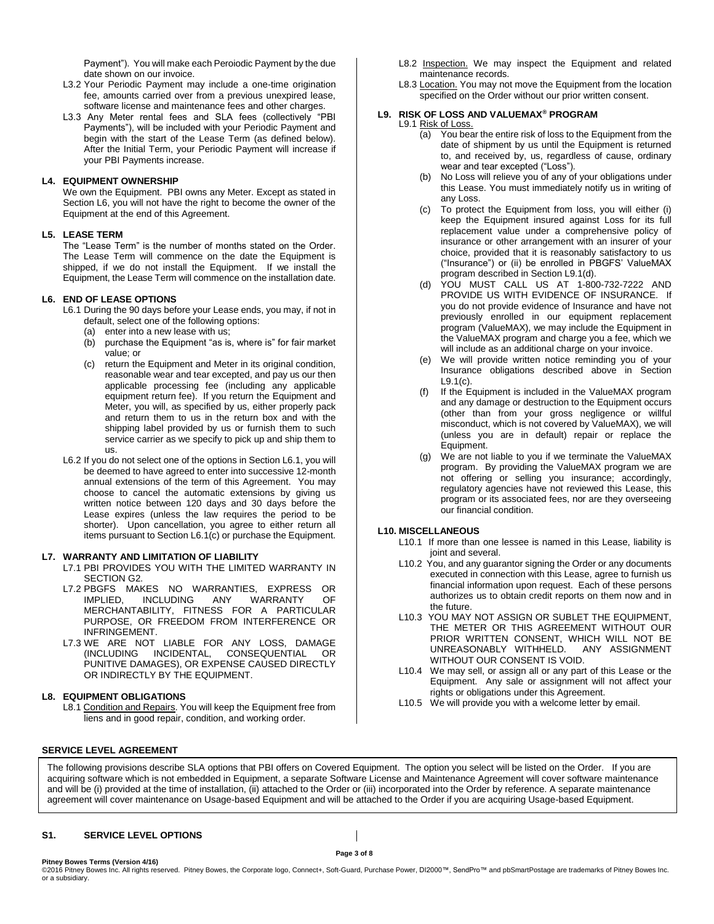Payment"). You will make each Peroiodic Payment by the due date shown on our invoice.

- L3.2 Your Periodic Payment may include a one-time origination fee, amounts carried over from a previous unexpired lease, software license and maintenance fees and other charges.
- L3.3 Any Meter rental fees and SLA fees (collectively "PBI Payments"), will be included with your Periodic Payment and begin with the start of the Lease Term (as defined below). After the Initial Term, your Periodic Payment will increase if your PBI Payments increase.

#### **L4. EQUIPMENT OWNERSHIP**

We own the Equipment. PBI owns any Meter. Except as stated in Section L6, you will not have the right to become the owner of the Equipment at the end of this Agreement.

#### **L5. LEASE TERM**

The "Lease Term" is the number of months stated on the Order. The Lease Term will commence on the date the Equipment is shipped, if we do not install the Equipment. If we install the Equipment, the Lease Term will commence on the installation date.

#### **L6. END OF LEASE OPTIONS**

L6.1 During the 90 days before your Lease ends, you may, if not in default, select one of the following options:

- (a) enter into a new lease with us;
- 
- (b) purchase the Equipment "as is, where is" for fair market value; or
- (c) return the Equipment and Meter in its original condition, reasonable wear and tear excepted, and pay us our then applicable processing fee (including any applicable equipment return fee). If you return the Equipment and Meter, you will, as specified by us, either properly pack and return them to us in the return box and with the shipping label provided by us or furnish them to such service carrier as we specify to pick up and ship them to us.
- L6.2 If you do not select one of the options in Section L6.1, you will be deemed to have agreed to enter into successive 12-month annual extensions of the term of this Agreement. You may choose to cancel the automatic extensions by giving us written notice between 120 days and 30 days before the Lease expires (unless the law requires the period to be shorter). Upon cancellation, you agree to either return all items pursuant to Section L6.1(c) or purchase the Equipment.

#### **L7. WARRANTY AND LIMITATION OF LIABILITY**

- L7.1 PBI PROVIDES YOU WITH THE LIMITED WARRANTY IN SECTION G2.
- L7.2 PBGFS MAKES NO WARRANTIES, EXPRESS OR IMPLIED, INCLUDING ANY WARRANTY OF MERCHANTABILITY, FITNESS FOR A PARTICULAR PURPOSE, OR FREEDOM FROM INTERFERENCE OR INFRINGEMENT.
- L7.3 WE ARE NOT LIABLE FOR ANY LOSS, DAMAGE (INCLUDING INCIDENTAL, CONSEQUENTIAL OR PUNITIVE DAMAGES), OR EXPENSE CAUSED DIRECTLY OR INDIRECTLY BY THE EQUIPMENT.

#### **L8. EQUIPMENT OBLIGATIONS**

L8.1 Condition and Repairs. You will keep the Equipment free from liens and in good repair, condition, and working order.

- L8.2 Inspection. We may inspect the Equipment and related maintenance records.
- L8.3 Location. You may not move the Equipment from the location specified on the Order without our prior written consent.

#### **L9. RISK OF LOSS AND VALUEMAX® PROGRAM** L9.1 Risk of Loss.

- (a) You bear the entire risk of loss to the Equipment from the date of shipment by us until the Equipment is returned to, and received by, us, regardless of cause, ordinary wear and tear excepted ("Loss").
- (b) No Loss will relieve you of any of your obligations under this Lease. You must immediately notify us in writing of any Loss.
- (c) To protect the Equipment from loss, you will either (i) keep the Equipment insured against Loss for its full replacement value under a comprehensive policy of insurance or other arrangement with an insurer of your choice, provided that it is reasonably satisfactory to us ("Insurance") or (ii) be enrolled in PBGFS' ValueMAX program described in Section L9.1(d).
- (d) YOU MUST CALL US AT 1-800-732-7222 AND PROVIDE US WITH EVIDENCE OF INSURANCE. If you do not provide evidence of Insurance and have not previously enrolled in our equipment replacement program (ValueMAX), we may include the Equipment in the ValueMAX program and charge you a fee, which we will include as an additional charge on your invoice.
- (e) We will provide written notice reminding you of your Insurance obligations described above in Section L9.1(c).
- (f) If the Equipment is included in the ValueMAX program and any damage or destruction to the Equipment occurs (other than from your gross negligence or willful misconduct, which is not covered by ValueMAX), we will (unless you are in default) repair or replace the Equipment.
- (g) We are not liable to you if we terminate the ValueMAX program. By providing the ValueMAX program we are not offering or selling you insurance; accordingly, regulatory agencies have not reviewed this Lease, this program or its associated fees, nor are they overseeing our financial condition.

# **L10. MISCELLANEOUS**

- L10.1 If more than one lessee is named in this Lease, liability is joint and several.
- L10.2 You, and any guarantor signing the Order or any documents executed in connection with this Lease, agree to furnish us financial information upon request. Each of these persons authorizes us to obtain credit reports on them now and in the future.
- L10.3 YOU MAY NOT ASSIGN OR SUBLET THE EQUIPMENT, THE METER OR THIS AGREEMENT WITHOUT OUR PRIOR WRITTEN CONSENT, WHICH WILL NOT BE UNREASONABLY WITHHELD. ANY ASSIGNMENT WITHOUT OUR CONSENT IS VOID.
- L10.4 We may sell, or assign all or any part of this Lease or the Equipment. Any sale or assignment will not affect your rights or obligations under this Agreement.
- L10.5 We will provide you with a welcome letter by email.

# **SERVICE LEVEL AGREEMENT**

The following provisions describe SLA options that PBI offers on Covered Equipment. The option you select will be listed on the Order. If you are acquiring software which is not embedded in Equipment, a separate Software License and Maintenance Agreement will cover software maintenance and will be (i) provided at the time of installation, (ii) attached to the Order or (iii) incorporated into the Order by reference. A separate maintenance agreement will cover maintenance on Usage-based Equipment and will be attached to the Order if you are acquiring Usage-based Equipment.

# **S1. SERVICE LEVEL OPTIONS**

**Pitney Bowes Terms (Version 4/16)**

**Page 3 of 8**

©2016 Pitney Bowes Inc. All rights reserved. Pitney Bowes, the Corporate logo, Connect+, Soft-Guard, Purchase Power, DI2000™, SendPro™ and pbSmartPostage are trademarks of Pitney Bowes Inc. or a subsidiary.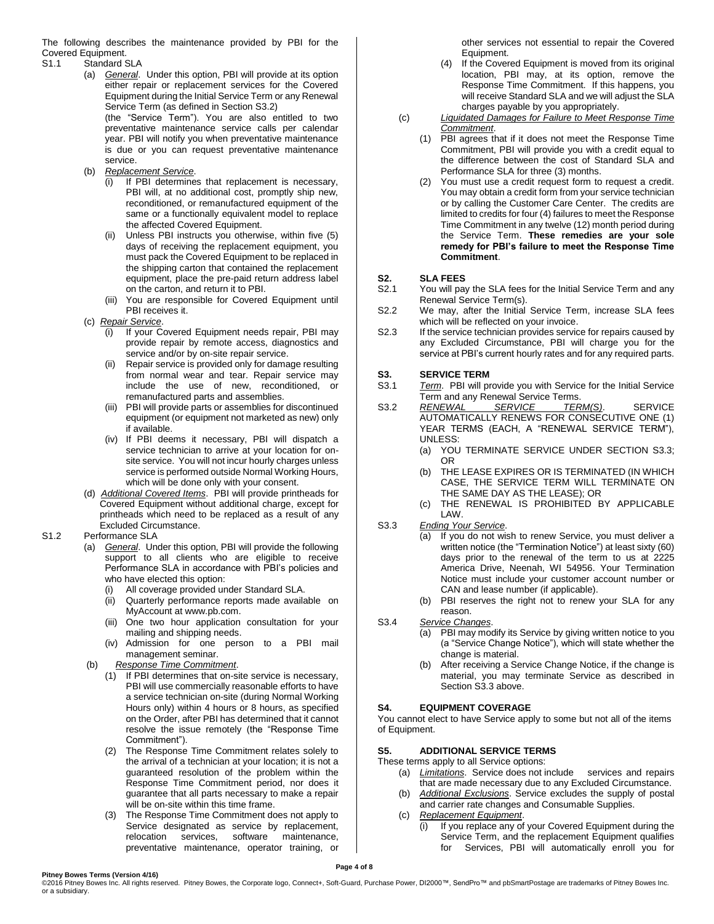The following describes the maintenance provided by PBI for the Covered Equipment.

#### S1.1 Standard SLA

- (a) *General*. Under this option, PBI will provide at its option either repair or replacement services for the Covered Equipment during the Initial Service Term or any Renewal Service Term (as defined in Section S3.2) (the "Service Term"). You are also entitled to two preventative maintenance service calls per calendar year. PBI will notify you when preventative maintenance is due or you can request preventative maintenance service.
- (b) *Replacement Service*.
	- (i) If PBI determines that replacement is necessary, PBI will, at no additional cost, promptly ship new, reconditioned, or remanufactured equipment of the same or a functionally equivalent model to replace the affected Covered Equipment.
	- (ii) Unless PBI instructs you otherwise, within five (5) days of receiving the replacement equipment, you must pack the Covered Equipment to be replaced in the shipping carton that contained the replacement equipment, place the pre-paid return address label on the carton, and return it to PBI.
	- (iii) You are responsible for Covered Equipment until PBI receives it.
- (c) *Repair Service*.
	- (i) If your Covered Equipment needs repair, PBI may provide repair by remote access, diagnostics and service and/or by on-site repair service.
	- (ii) Repair service is provided only for damage resulting from normal wear and tear. Repair service may include the use of new, reconditioned, or remanufactured parts and assemblies.
	- (iii) PBI will provide parts or assemblies for discontinued equipment (or equipment not marketed as new) only if available.
	- (iv) If PBI deems it necessary, PBI will dispatch a service technician to arrive at your location for onsite service. You will not incur hourly charges unless service is performed outside Normal Working Hours, which will be done only with your consent.
- (d) *Additional Covered Items*. PBI will provide printheads for Covered Equipment without additional charge, except for printheads which need to be replaced as a result of any Excluded Circumstance.

## S1.2 Performance SLA

- (a) *General*. Under this option, PBI will provide the following support to all clients who are eligible to receive Performance SLA in accordance with PBI's policies and who have elected this option:
	- (i) All coverage provided under Standard SLA.
	- (ii) Quarterly performance reports made available on MyAccount at [www.pb.com.](http://www.pb.com/)
	- (iii) One two hour application consultation for your mailing and shipping needs.
	- (iv) Admission for one person to a PBI mail management seminar.
- (b) *Response Time Commitment*.
	- (1) If PBI determines that on-site service is necessary, PBI will use commercially reasonable efforts to have a service technician on-site (during Normal Working Hours only) within 4 hours or 8 hours, as specified on the Order, after PBI has determined that it cannot resolve the issue remotely (the "Response Time Commitment").
	- (2) The Response Time Commitment relates solely to the arrival of a technician at your location; it is not a guaranteed resolution of the problem within the Response Time Commitment period, nor does it guarantee that all parts necessary to make a repair will be on-site within this time frame.
	- (3) The Response Time Commitment does not apply to Service designated as service by replacement, relocation services, software maintenance, preventative maintenance, operator training, or

other services not essential to repair the Covered Equipment.

- (4) If the Covered Equipment is moved from its original location, PBI may, at its option, remove the Response Time Commitment. If this happens, you will receive Standard SLA and we will adjust the SLA charges payable by you appropriately.
- (c) *Liquidated Damages for Failure to Meet Response Time Commitment*.
	- (1) PBI agrees that if it does not meet the Response Time Commitment, PBI will provide you with a credit equal to the difference between the cost of Standard SLA and Performance SLA for three (3) months.
	- You must use a credit request form to request a credit. You may obtain a credit form from your service technician or by calling the Customer Care Center. The credits are limited to credits for four (4) failures to meet the Response Time Commitment in any twelve (12) month period during the Service Term. **These remedies are your sole remedy for PBI's failure to meet the Response Time Commitment**.

# **S2. SLA FEES**

- S2.1 You will pay the SLA fees for the Initial Service Term and any Renewal Service Term(s).
- S2.2 We may, after the Initial Service Term, increase SLA fees which will be reflected on your invoice.
- S2.3 If the service technician provides service for repairs caused by any Excluded Circumstance, PBI will charge you for the service at PBI's current hourly rates and for any required parts.

# **S3. SERVICE TERM**

- S3.1 *Term*. PBI will provide you with Service for the Initial Service Term and any Renewal Service Terms.<br>RENEWAL SERVICE TER
- S3.2 *RENEWAL SERVICE TERM(S)*. SERVICE AUTOMATICALLY RENEWS FOR CONSECUTIVE ONE (1) YEAR TERMS (EACH, A "RENEWAL SERVICE TERM"), UNLESS:
	- (a) YOU TERMINATE SERVICE UNDER SECTION S3.3; OR
	- (b) THE LEASE EXPIRES OR IS TERMINATED (IN WHICH CASE, THE SERVICE TERM WILL TERMINATE ON THE SAME DAY AS THE LEASE); OR
	- (c) THE RENEWAL IS PROHIBITED BY APPLICABLE LAW.
- S3.3 *Ending Your Service*.
	- (a) If you do not wish to renew Service, you must deliver a written notice (the "Termination Notice") at least sixty (60) days prior to the renewal of the term to us at 2225 America Drive, Neenah, WI 54956. Your Termination Notice must include your customer account number or CAN and lease number (if applicable).
		- (b) PBI reserves the right not to renew your SLA for any reason.
- S3.4 *Service Changes*.
	- (a) PBI may modify its Service by giving written notice to you (a "Service Change Notice"), which will state whether the change is material.
	- (b) After receiving a Service Change Notice, if the change is material, you may terminate Service as described in Section S3.3 above.

## **S4. EQUIPMENT COVERAGE**

You cannot elect to have Service apply to some but not all of the items of Equipment.

## **S5. ADDITIONAL SERVICE TERMS**

These terms apply to all Service options:

- (a) *Limitations*. Service does not include services and repairs that are made necessary due to any Excluded Circumstance.
- (b) *Additional Exclusions*. Service excludes the supply of postal and carrier rate changes and Consumable Supplies.
- (c) *Replacement Equipment*.
	- (i) If you replace any of your Covered Equipment during the Service Term, and the replacement Equipment qualifies for Services, PBI will automatically enroll you for

**Page 4 of 8**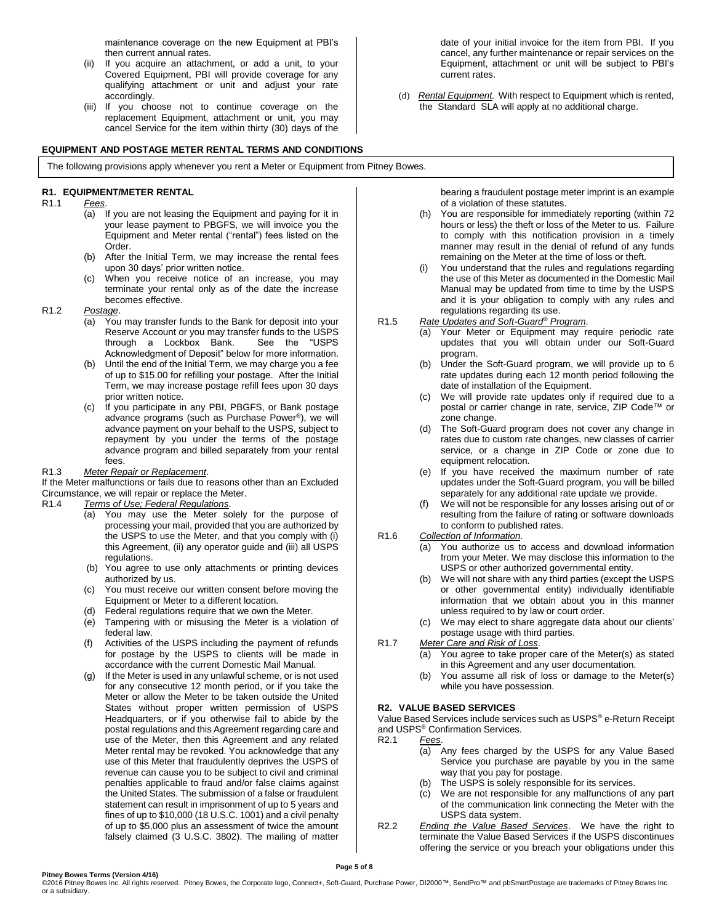maintenance coverage on the new Equipment at PBI's then current annual rates.

- (ii) If you acquire an attachment, or add a unit, to your Covered Equipment, PBI will provide coverage for any qualifying attachment or unit and adjust your rate accordingly.
- (iii) If you choose not to continue coverage on the replacement Equipment, attachment or unit, you may cancel Service for the item within thirty (30) days of the

## **EQUIPMENT AND POSTAGE METER RENTAL TERMS AND CONDITIONS**

The following provisions apply whenever you rent a Meter or Equipment from Pitney Bowes.

## **R1. EQUIPMENT/METER RENTAL**

## R1.1 *Fees*.

- (a) If you are not leasing the Equipment and paying for it in your lease payment to PBGFS, we will invoice you the Equipment and Meter rental ("rental") fees listed on the Order.
- (b) After the Initial Term, we may increase the rental fees upon 30 days' prior written notice.
- (c) When you receive notice of an increase, you may terminate your rental only as of the date the increase becomes effective.
- R1.2 *Postage*.
	- (a) You may transfer funds to the Bank for deposit into your Reserve Account or you may transfer funds to the USPS<br>through a Lockbox Bank. See the "USPS through a Lockbox Bank. Acknowledgment of Deposit" below for more information.
	- (b) Until the end of the Initial Term, we may charge you a fee of up to \$15.00 for refilling your postage. After the Initial Term, we may increase postage refill fees upon 30 days prior written notice.
	- (c) If you participate in any PBI, PBGFS, or Bank postage advance programs (such as Purchase Power® ), we will advance payment on your behalf to the USPS, subject to repayment by you under the terms of the postage advance program and billed separately from your rental fees.

#### R1.3 *Meter Repair or Replacement*.

If the Meter malfunctions or fails due to reasons other than an Excluded Circumstance, we will repair or replace the Meter.

#### R1.4 *Terms of Use; Federal Regulations*.

- (a) You may use the Meter solely for the purpose of processing your mail, provided that you are authorized by the USPS to use the Meter, and that you comply with (i) this Agreement, (ii) any operator guide and (iii) all USPS regulations.
- (b) You agree to use only attachments or printing devices authorized by us.
- (c) You must receive our written consent before moving the Equipment or Meter to a different location.
- (d) Federal regulations require that we own the Meter.
- (e) Tampering with or misusing the Meter is a violation of federal law.
- (f) Activities of the USPS including the payment of refunds for postage by the USPS to clients will be made in accordance with the current Domestic Mail Manual.
- (g) If the Meter is used in any unlawful scheme, or is not used for any consecutive 12 month period, or if you take the Meter or allow the Meter to be taken outside the United States without proper written permission of USPS Headquarters, or if you otherwise fail to abide by the postal regulations and this Agreement regarding care and use of the Meter, then this Agreement and any related Meter rental may be revoked. You acknowledge that any use of this Meter that fraudulently deprives the USPS of revenue can cause you to be subject to civil and criminal penalties applicable to fraud and/or false claims against the United States. The submission of a false or fraudulent statement can result in imprisonment of up to 5 years and fines of up to \$10,000 (18 U.S.C. 1001) and a civil penalty of up to \$5,000 plus an assessment of twice the amount falsely claimed (3 U.S.C. 3802). The mailing of matter

bearing a fraudulent postage meter imprint is an example of a violation of these statutes.

- (h) You are responsible for immediately reporting (within 72 hours or less) the theft or loss of the Meter to us. Failure to comply with this notification provision in a timely manner may result in the denial of refund of any funds remaining on the Meter at the time of loss or theft.
- (i) You understand that the rules and regulations regarding the use of this Meter as documented in the Domestic Mail Manual may be updated from time to time by the USPS and it is your obligation to comply with any rules and regulations regarding its use.
- R1.5 *Rate Updates and Soft-Guard® Program*.
	- (a) Your Meter or Equipment may require periodic rate updates that you will obtain under our Soft-Guard program.
	- (b) Under the Soft-Guard program, we will provide up to 6 rate updates during each 12 month period following the date of installation of the Equipment.
	- (c) We will provide rate updates only if required due to a postal or carrier change in rate, service, ZIP Code™ or zone change.
	- (d) The Soft-Guard program does not cover any change in rates due to custom rate changes, new classes of carrier service, or a change in ZIP Code or zone due to equipment relocation.
	- (e) If you have received the maximum number of rate updates under the Soft-Guard program, you will be billed separately for any additional rate update we provide.
	- We will not be responsible for any losses arising out of or resulting from the failure of rating or software downloads to conform to published rates.

#### R1.6 *Collection of Information*.

- (a) You authorize us to access and download information from your Meter. We may disclose this information to the USPS or other authorized governmental entity.
- (b) We will not share with any third parties (except the USPS or other governmental entity) individually identifiable information that we obtain about you in this manner unless required to by law or court order.
- (c) We may elect to share aggregate data about our clients' postage usage with third parties.
- R1.7 *Meter Care and Risk of Loss*.
	- (a) You agree to take proper care of the Meter(s) as stated in this Agreement and any user documentation.
	- (b) You assume all risk of loss or damage to the Meter(s) while you have possession.

## **R2. VALUE BASED SERVICES**

Value Based Services include services such as USPS® e-Return Receipt and USPS® Confirmation Services.

- R2.1 *Fees*.
	- (a) Any fees charged by the USPS for any Value Based Service you purchase are payable by you in the same way that you pay for postage.
	- (b) The USPS is solely responsible for its services.
	- (c) We are not responsible for any malfunctions of any part of the communication link connecting the Meter with the USPS data system.
- R2.2 *Ending the Value Based Services*. We have the right to terminate the Value Based Services if the USPS discontinues offering the service or you breach your obligations under this

date of your initial invoice for the item from PBI. If you cancel, any further maintenance or repair services on the Equipment, attachment or unit will be subject to PBI's current rates.

(d) *Rental Equipment.* With respect to Equipment which is rented, the Standard SLA will apply at no additional charge.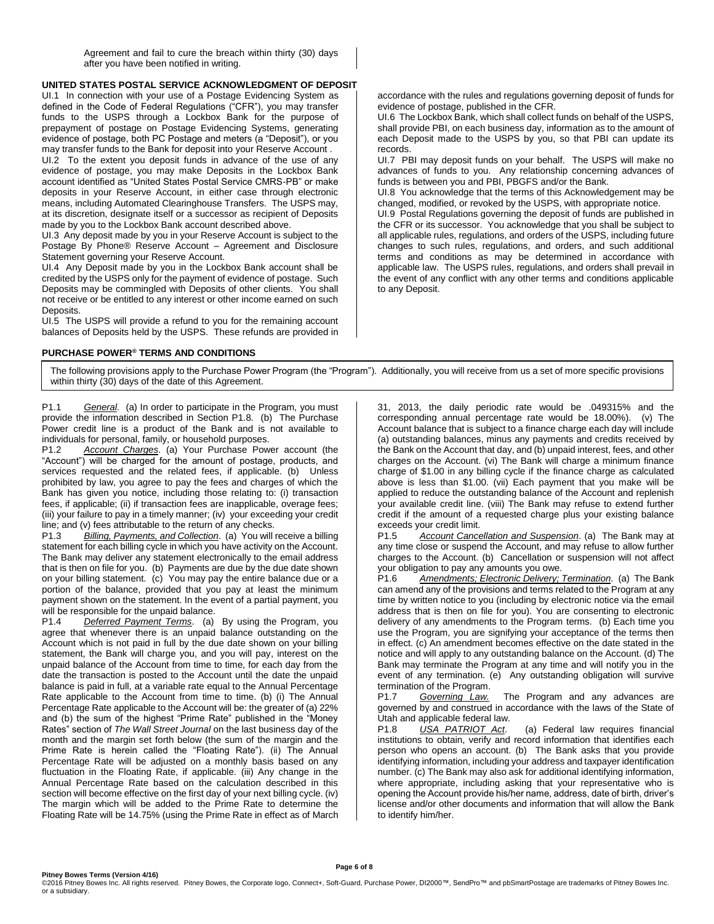Agreement and fail to cure the breach within thirty (30) days after you have been notified in writing.

# **UNITED STATES POSTAL SERVICE ACKNOWLEDGMENT OF DEPOSIT**

UI.1 In connection with your use of a Postage Evidencing System as defined in the Code of Federal Regulations ("CFR"), you may transfer funds to the USPS through a Lockbox Bank for the purpose of prepayment of postage on Postage Evidencing Systems, generating evidence of postage, both PC Postage and meters (a "Deposit"), or you may transfer funds to the Bank for deposit into your Reserve Account .

UI.2 To the extent you deposit funds in advance of the use of any evidence of postage, you may make Deposits in the Lockbox Bank account identified as "United States Postal Service CMRS-PB" or make deposits in your Reserve Account, in either case through electronic means, including Automated Clearinghouse Transfers. The USPS may, at its discretion, designate itself or a successor as recipient of Deposits made by you to the Lockbox Bank account described above.

UI.3 Any deposit made by you in your Reserve Account is subject to the Postage By Phone® Reserve Account – Agreement and Disclosure Statement governing your Reserve Account.

UI.4 Any Deposit made by you in the Lockbox Bank account shall be credited by the USPS only for the payment of evidence of postage. Such Deposits may be commingled with Deposits of other clients. You shall not receive or be entitled to any interest or other income earned on such Deposits.

UI.5 The USPS will provide a refund to you for the remaining account balances of Deposits held by the USPS. These refunds are provided in

# **PURCHASE POWER® TERMS AND CONDITIONS**

accordance with the rules and regulations governing deposit of funds for evidence of postage, published in the CFR.

UI.6 The Lockbox Bank, which shall collect funds on behalf of the USPS, shall provide PBI, on each business day, information as to the amount of each Deposit made to the USPS by you, so that PBI can update its records.

UI.7 PBI may deposit funds on your behalf. The USPS will make no advances of funds to you. Any relationship concerning advances of funds is between you and PBI, PBGFS and/or the Bank.

UI.8 You acknowledge that the terms of this Acknowledgement may be changed, modified, or revoked by the USPS, with appropriate notice.

UI.9 Postal Regulations governing the deposit of funds are published in the CFR or its successor. You acknowledge that you shall be subject to all applicable rules, regulations, and orders of the USPS, including future changes to such rules, regulations, and orders, and such additional terms and conditions as may be determined in accordance with applicable law. The USPS rules, regulations, and orders shall prevail in the event of any conflict with any other terms and conditions applicable to any Deposit.

The following provisions apply to the Purchase Power Program (the "Program"). Additionally, you will receive from us a set of more specific provisions within thirty (30) days of the date of this Agreement.

P1.1 *General.* (a) In order to participate in the Program, you must provide the information described in Section P1.8. (b) The Purchase Power credit line is a product of the Bank and is not available to individuals for personal, family, or household purposes.

P1.2 *Account Charges*. (a) Your Purchase Power account (the "Account") will be charged for the amount of postage, products, and services requested and the related fees, if applicable. (b) Unless prohibited by law, you agree to pay the fees and charges of which the Bank has given you notice, including those relating to: (i) transaction fees, if applicable; (ii) if transaction fees are inapplicable, overage fees; (iii) your failure to pay in a timely manner; (iv) your exceeding your credit line; and (v) fees attributable to the return of any checks.

P1.3 *Billing, Payments, and Collection*. (a) You will receive a billing statement for each billing cycle in which you have activity on the Account. The Bank may deliver any statement electronically to the email address that is then on file for you. (b) Payments are due by the due date shown on your billing statement. (c) You may pay the entire balance due or a portion of the balance, provided that you pay at least the minimum payment shown on the statement. In the event of a partial payment, you will be responsible for the unpaid balance.<br>P1.4 Deferred Payment Terms. (a)

**Deferred Payment Terms.** (a) By using the Program, you agree that whenever there is an unpaid balance outstanding on the Account which is not paid in full by the due date shown on your billing statement, the Bank will charge you, and you will pay, interest on the unpaid balance of the Account from time to time, for each day from the date the transaction is posted to the Account until the date the unpaid balance is paid in full, at a variable rate equal to the Annual Percentage Rate applicable to the Account from time to time. (b) (i) The Annual Percentage Rate applicable to the Account will be: the greater of (a) 22% and (b) the sum of the highest "Prime Rate" published in the "Money Rates" section of *The Wall Street Journal* on the last business day of the month and the margin set forth below (the sum of the margin and the Prime Rate is herein called the "Floating Rate"). (ii) The Annual Percentage Rate will be adjusted on a monthly basis based on any fluctuation in the Floating Rate, if applicable. (iii) Any change in the Annual Percentage Rate based on the calculation described in this section will become effective on the first day of your next billing cycle. (iv) The margin which will be added to the Prime Rate to determine the Floating Rate will be 14.75% (using the Prime Rate in effect as of March

31, 2013, the daily periodic rate would be .049315% and the corresponding annual percentage rate would be 18.00%). (v) The Account balance that is subject to a finance charge each day will include (a) outstanding balances, minus any payments and credits received by the Bank on the Account that day, and (b) unpaid interest, fees, and other charges on the Account. (vi) The Bank will charge a minimum finance charge of \$1.00 in any billing cycle if the finance charge as calculated above is less than \$1.00. (vii) Each payment that you make will be applied to reduce the outstanding balance of the Account and replenish your available credit line. (viii) The Bank may refuse to extend further credit if the amount of a requested charge plus your existing balance exceeds your credit limit.

P1.5 *Account Cancellation and Suspension*. (a) The Bank may at any time close or suspend the Account, and may refuse to allow further charges to the Account. (b) Cancellation or suspension will not affect your obligation to pay any amounts you owe.<br>P1.6 Amendments; Electronic Delivery;

Amendments; Electronic Delivery; Termination. (a) The Bank can amend any of the provisions and terms related to the Program at any time by written notice to you (including by electronic notice via the email address that is then on file for you). You are consenting to electronic delivery of any amendments to the Program terms. (b) Each time you use the Program, you are signifying your acceptance of the terms then in effect. (c) An amendment becomes effective on the date stated in the notice and will apply to any outstanding balance on the Account. (d) The Bank may terminate the Program at any time and will notify you in the event of any termination. (e) Any outstanding obligation will survive termination of the Program.

P1.7 *Governing Law.* The Program and any advances are governed by and construed in accordance with the laws of the State of Utah and applicable federal law.

P1.8 *USA PATRIOT Act*. (a) Federal law requires financial institutions to obtain, verify and record information that identifies each person who opens an account. (b) The Bank asks that you provide identifying information, including your address and taxpayer identification number. (c) The Bank may also ask for additional identifying information, where appropriate, including asking that your representative who is opening the Account provide his/her name, address, date of birth, driver's license and/or other documents and information that will allow the Bank to identify him/her.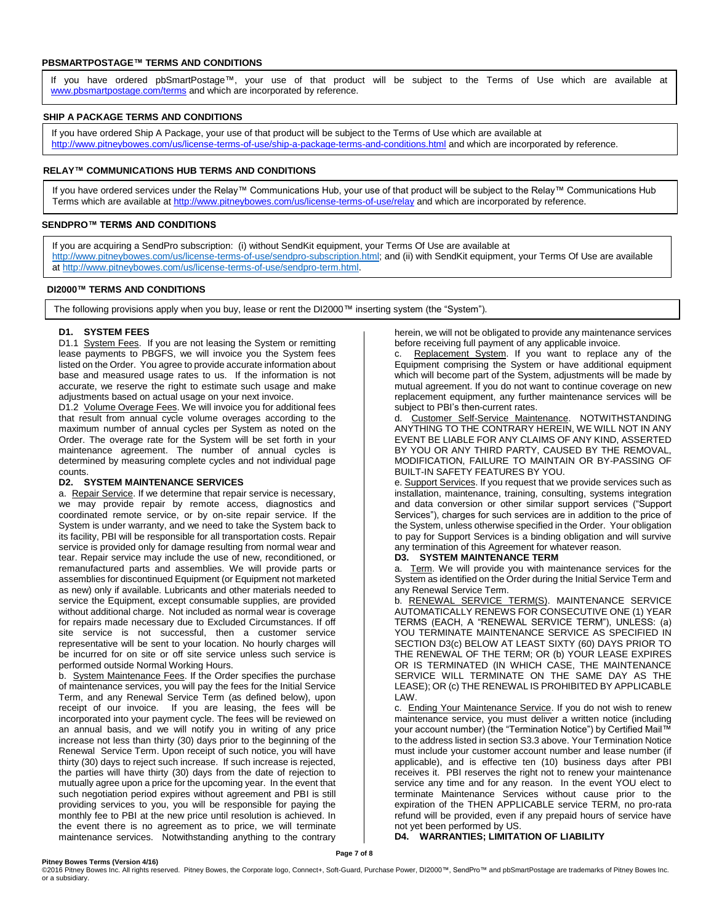#### **PBSMARTPOSTAGE™ TERMS AND CONDITIONS**

If you have ordered pbSmartPostage™, your use of that product will be subject to the Terms of Use which are available at [www.pbsmartpostage.com/terms](http://www.pbsmartpostage.com/terms) and which are incorporated by reference.

#### **SHIP A PACKAGE TERMS AND CONDITIONS**

If you have ordered Ship A Package, your use of that product will be subject to the Terms of Use which are available at <http://www.pitneybowes.com/us/license-terms-of-use/ship-a-package-terms-and-conditions.html> and which are incorporated by reference.

#### **RELAY™ COMMUNICATIONS HUB TERMS AND CONDITIONS**

If you have ordered services under the Relay™ Communications Hub, your use of that product will be subject to the Relay™ Communications Hub Terms which are available at<http://www.pitneybowes.com/us/license-terms-of-use/relay> and which are incorporated by reference.

## **SENDPRO™ TERMS AND CONDITIONS**

If you are acquiring a SendPro subscription: (i) without SendKit equipment, your Terms Of Use are available at [http://www.pitneybowes.com/us/license-terms-of-use/sendpro-subscription.html;](http://www.pitneybowes.com/us/license-terms-of-use/sendpro-subscription.html) and (ii) with SendKit equipment, your Terms Of Use are available a[t http://www.pitneybowes.com/us/license-terms-of-use/sendpro-term.html.](http://www.pitneybowes.com/us/license-terms-of-use/sendpro-term.html)

#### **DI2000™ TERMS AND CONDITIONS**

The following provisions apply when you buy, lease or rent the DI2000™ inserting system (the "System").

#### **D1. SYSTEM FEES**

D1.1 System Fees. If you are not leasing the System or remitting lease payments to PBGFS, we will invoice you the System fees listed on the Order. You agree to provide accurate information about base and measured usage rates to us. If the information is not accurate, we reserve the right to estimate such usage and make adjustments based on actual usage on your next invoice.

D1.2 Volume Overage Fees. We will invoice you for additional fees that result from annual cycle volume overages according to the maximum number of annual cycles per System as noted on the Order. The overage rate for the System will be set forth in your maintenance agreement. The number of annual cycles is determined by measuring complete cycles and not individual page counts.

## **D2. SYSTEM MAINTENANCE SERVICES**

a. Repair Service. If we determine that repair service is necessary, we may provide repair by remote access, diagnostics and coordinated remote service, or by on-site repair service. If the System is under warranty, and we need to take the System back to its facility, PBI will be responsible for all transportation costs. Repair service is provided only for damage resulting from normal wear and tear. Repair service may include the use of new, reconditioned, or remanufactured parts and assemblies. We will provide parts or assemblies for discontinued Equipment (or Equipment not marketed as new) only if available. Lubricants and other materials needed to service the Equipment, except consumable supplies, are provided without additional charge. Not included as normal wear is coverage for repairs made necessary due to Excluded Circumstances. If off site service is not successful, then a customer service representative will be sent to your location. No hourly charges will be incurred for on site or off site service unless such service is performed outside Normal Working Hours.

b. System Maintenance Fees. If the Order specifies the purchase of maintenance services, you will pay the fees for the Initial Service Term, and any Renewal Service Term (as defined below), upon receipt of our invoice. If you are leasing, the fees will be incorporated into your payment cycle. The fees will be reviewed on an annual basis, and we will notify you in writing of any price increase not less than thirty (30) days prior to the beginning of the Renewal Service Term. Upon receipt of such notice, you will have thirty (30) days to reject such increase. If such increase is rejected, the parties will have thirty (30) days from the date of rejection to mutually agree upon a price for the upcoming year. In the event that such negotiation period expires without agreement and PBI is still providing services to you, you will be responsible for paying the monthly fee to PBI at the new price until resolution is achieved. In the event there is no agreement as to price, we will terminate maintenance services. Notwithstanding anything to the contrary

herein, we will not be obligated to provide any maintenance services before receiving full payment of any applicable invoice.

c. Replacement System. If you want to replace any of the Equipment comprising the System or have additional equipment which will become part of the System, adjustments will be made by mutual agreement. If you do not want to continue coverage on new replacement equipment, any further maintenance services will be subject to PBI's then-current rates.

Customer Self-Service Maintenance. NOTWITHSTANDING ANYTHING TO THE CONTRARY HEREIN, WE WILL NOT IN ANY EVENT BE LIABLE FOR ANY CLAIMS OF ANY KIND, ASSERTED BY YOU OR ANY THIRD PARTY, CAUSED BY THE REMOVAL, MODIFICATION, FAILURE TO MAINTAIN OR BY-PASSING OF BUILT-IN SAFETY FEATURES BY YOU.

e. Support Services. If you request that we provide services such as installation, maintenance, training, consulting, systems integration and data conversion or other similar support services ("Support Services"), charges for such services are in addition to the price of the System, unless otherwise specified in the Order. Your obligation to pay for Support Services is a binding obligation and will survive any termination of this Agreement for whatever reason.

# **D3. SYSTEM MAINTENANCE TERM**

a. Term. We will provide you with maintenance services for the System as identified on the Order during the Initial Service Term and any Renewal Service Term.

b. RENEWAL SERVICE TERM(S). MAINTENANCE SERVICE AUTOMATICALLY RENEWS FOR CONSECUTIVE ONE (1) YEAR TERMS (EACH, A "RENEWAL SERVICE TERM"), UNLESS: (a) YOU TERMINATE MAINTENANCE SERVICE AS SPECIFIED IN SECTION D3(c) BELOW AT LEAST SIXTY (60) DAYS PRIOR TO THE RENEWAL OF THE TERM; OR (b) YOUR LEASE EXPIRES OR IS TERMINATED (IN WHICH CASE, THE MAINTENANCE SERVICE WILL TERMINATE ON THE SAME DAY AS THE LEASE); OR (c) THE RENEWAL IS PROHIBITED BY APPLICABLE LAW.

c. Ending Your Maintenance Service. If you do not wish to renew maintenance service, you must deliver a written notice (including your account number) (the "Termination Notice") by Certified Mail™ to the address listed in section S3.3 above. Your Termination Notice must include your customer account number and lease number (if applicable), and is effective ten (10) business days after PBI receives it. PBI reserves the right not to renew your maintenance service any time and for any reason. In the event YOU elect to terminate Maintenance Services without cause prior to the expiration of the THEN APPLICABLE service TERM, no pro-rata refund will be provided, even if any prepaid hours of service have not yet been performed by US.

**D4. WARRANTIES; LIMITATION OF LIABILITY**